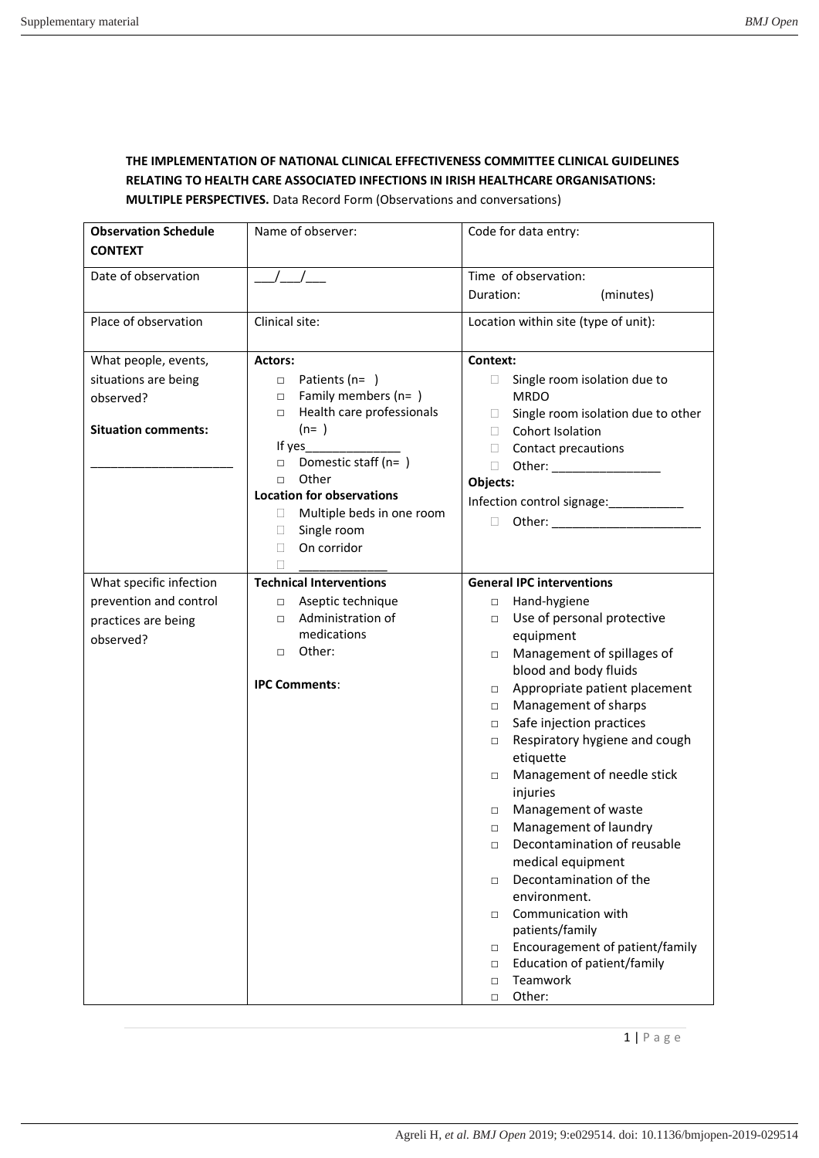## **THE IMPLEMENTATION OF NATIONAL CLINICAL EFFECTIVENESS COMMITTEE CLINICAL GUIDELINES RELATING TO HEALTH CARE ASSOCIATED INFECTIONS IN IRISH HEALTHCARE ORGANISATIONS: MULTIPLE PERSPECTIVES.** Data Record Form (Observations and conversations)

| <b>Observation Schedule</b> | Name of observer:                              | Code for data entry:                                          |
|-----------------------------|------------------------------------------------|---------------------------------------------------------------|
| <b>CONTEXT</b>              |                                                |                                                               |
| Date of observation         |                                                | Time of observation:                                          |
|                             |                                                | Duration:<br>(minutes)                                        |
| Place of observation        | Clinical site:                                 | Location within site (type of unit):                          |
| What people, events,        | <b>Actors:</b>                                 | Context:                                                      |
| situations are being        | Patients ( $n=$ )<br>$\Box$                    | Single room isolation due to<br>$\mathbf{L}$                  |
| observed?                   | Family members (n=)<br>$\Box$                  | <b>MRDO</b>                                                   |
|                             | Health care professionals<br>$\Box$<br>$(n= )$ | Single room isolation due to other<br>$\mathbf{L}$            |
| <b>Situation comments:</b>  | If yes                                         | Cohort Isolation<br>П.<br>П.                                  |
|                             | Domestic staff (n=)<br>$\Box$                  | Contact precautions<br>$\Box$<br>Other: __________________    |
|                             | Other<br>$\Box$                                | Objects:                                                      |
|                             | <b>Location for observations</b>               | Infection control signage:                                    |
|                             | Multiple beds in one room<br>$\mathbf{L}$      | П                                                             |
|                             | Single room<br>□                               |                                                               |
|                             | On corridor<br>П                               |                                                               |
|                             |                                                |                                                               |
| What specific infection     | <b>Technical Interventions</b>                 | <b>General IPC interventions</b>                              |
| prevention and control      | □ Aseptic technique                            | Hand-hygiene<br>$\Box$                                        |
| practices are being         | Administration of<br>$\Box$<br>medications     | Use of personal protective<br>$\Box$                          |
| observed?                   | Other:<br>$\Box$                               | equipment                                                     |
|                             |                                                | Management of spillages of<br>$\Box$<br>blood and body fluids |
|                             | <b>IPC Comments:</b>                           | Appropriate patient placement<br>$\Box$                       |
|                             |                                                | Management of sharps<br>$\Box$                                |
|                             |                                                | Safe injection practices<br>$\Box$                            |
|                             |                                                | Respiratory hygiene and cough<br>$\Box$                       |
|                             |                                                | etiquette                                                     |
|                             |                                                | Management of needle stick<br>$\Box$                          |
|                             |                                                | injuries                                                      |
|                             |                                                | Management of waste<br>$\Box$                                 |
|                             |                                                | Management of laundry<br>$\Box$                               |
|                             |                                                | Decontamination of reusable<br>□                              |
|                             |                                                | medical equipment                                             |
|                             |                                                | Decontamination of the<br>$\Box$<br>environment.              |
|                             |                                                | Communication with<br>$\Box$                                  |
|                             |                                                | patients/family                                               |
|                             |                                                | Encouragement of patient/family<br>$\Box$                     |
|                             |                                                | Education of patient/family<br>$\Box$                         |
|                             |                                                | Teamwork<br>$\Box$                                            |
|                             |                                                | Other:<br>$\Box$                                              |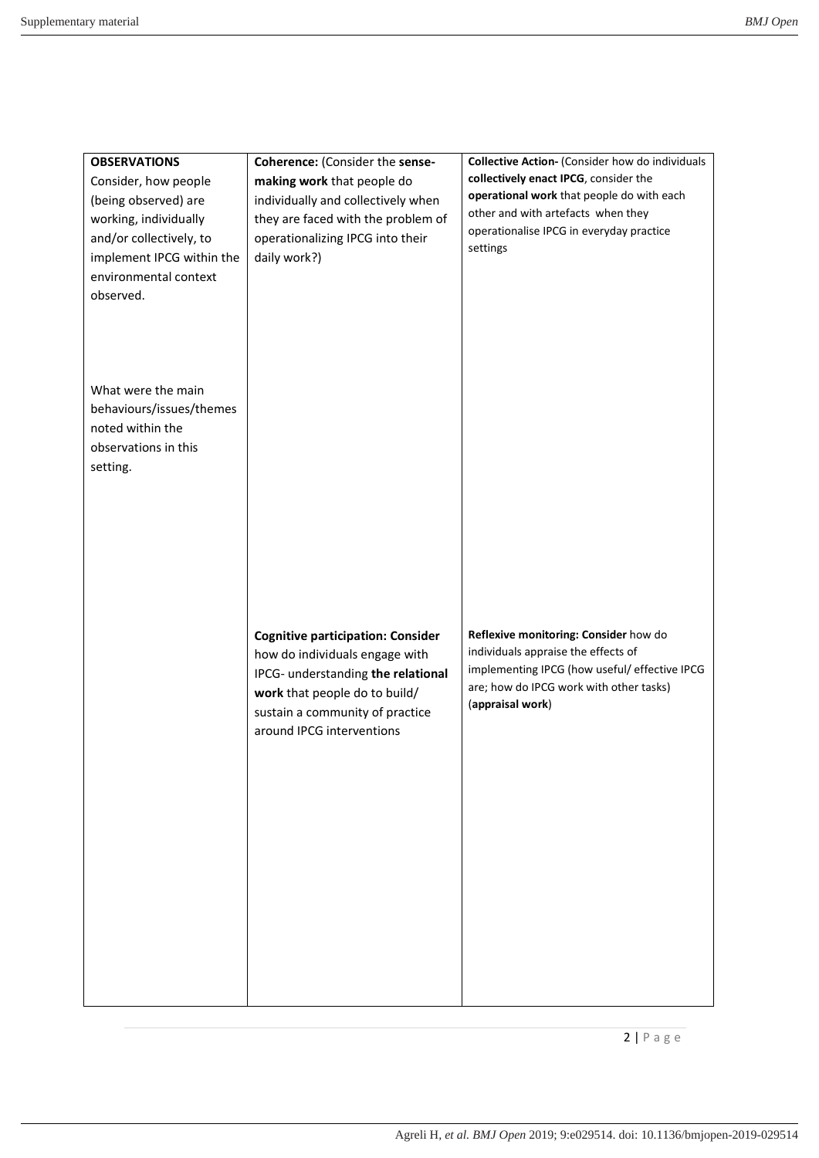| <b>OBSERVATIONS</b><br>Consider, how people<br>(being observed) are<br>working, individually<br>and/or collectively, to<br>implement IPCG within the<br>environmental context<br>observed. | Coherence: (Consider the sense-<br>making work that people do<br>individually and collectively when<br>they are faced with the problem of<br>operationalizing IPCG into their<br>daily work?)                     | <b>Collective Action- (Consider how do individuals</b><br>collectively enact IPCG, consider the<br>operational work that people do with each<br>other and with artefacts when they<br>operationalise IPCG in everyday practice<br>settings |
|--------------------------------------------------------------------------------------------------------------------------------------------------------------------------------------------|-------------------------------------------------------------------------------------------------------------------------------------------------------------------------------------------------------------------|--------------------------------------------------------------------------------------------------------------------------------------------------------------------------------------------------------------------------------------------|
| What were the main<br>behaviours/issues/themes<br>noted within the<br>observations in this<br>setting.                                                                                     |                                                                                                                                                                                                                   |                                                                                                                                                                                                                                            |
|                                                                                                                                                                                            | <b>Cognitive participation: Consider</b><br>how do individuals engage with<br>IPCG- understanding the relational<br>work that people do to build/<br>sustain a community of practice<br>around IPCG interventions | Reflexive monitoring: Consider how do<br>individuals appraise the effects of<br>implementing IPCG (how useful/ effective IPCG<br>are; how do IPCG work with other tasks)<br>(appraisal work)                                               |
|                                                                                                                                                                                            |                                                                                                                                                                                                                   |                                                                                                                                                                                                                                            |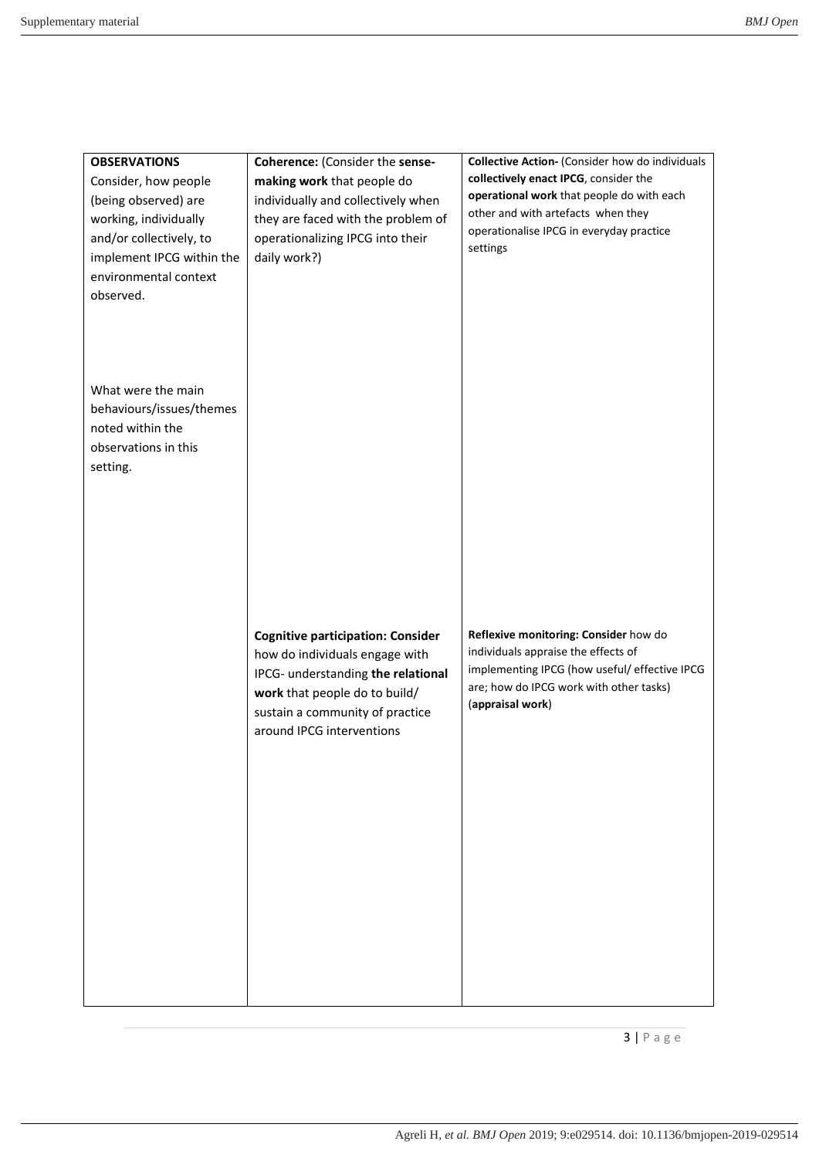| <b>OBSERVATIONS</b><br>Consider, how people<br>(being observed) are<br>working, individually<br>and/or collectively, to<br>implement IPCG within the<br>environmental context<br>observed. | Coherence: (Consider the sense-<br>making work that people do<br>individually and collectively when<br>they are faced with the problem of<br>operationalizing IPCG into their<br>daily work?)                     | <b>Collective Action- (Consider how do individuals</b><br>collectively enact IPCG, consider the<br>operational work that people do with each<br>other and with artefacts when they<br>operationalise IPCG in everyday practice<br>settings |
|--------------------------------------------------------------------------------------------------------------------------------------------------------------------------------------------|-------------------------------------------------------------------------------------------------------------------------------------------------------------------------------------------------------------------|--------------------------------------------------------------------------------------------------------------------------------------------------------------------------------------------------------------------------------------------|
| What were the main<br>behaviours/issues/themes<br>noted within the<br>observations in this<br>setting.                                                                                     |                                                                                                                                                                                                                   |                                                                                                                                                                                                                                            |
|                                                                                                                                                                                            | <b>Cognitive participation: Consider</b><br>how do individuals engage with<br>IPCG- understanding the relational<br>work that people do to build/<br>sustain a community of practice<br>around IPCG interventions | Reflexive monitoring: Consider how do<br>individuals appraise the effects of<br>implementing IPCG (how useful/ effective IPCG<br>are; how do IPCG work with other tasks)<br>(appraisal work)                                               |
|                                                                                                                                                                                            |                                                                                                                                                                                                                   |                                                                                                                                                                                                                                            |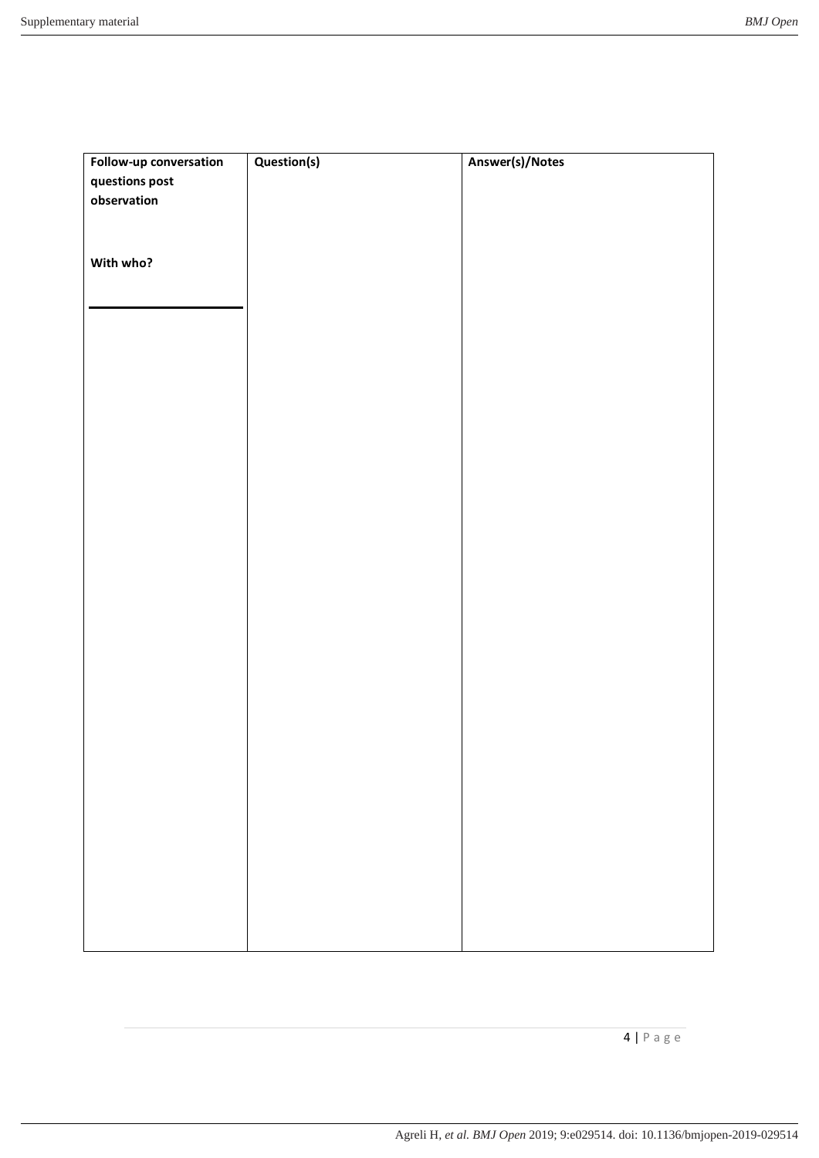| Follow-up conversation | Question(s) | Answer(s)/Notes |
|------------------------|-------------|-----------------|
| questions post         |             |                 |
| observation            |             |                 |
|                        |             |                 |
|                        |             |                 |
| With who?              |             |                 |
|                        |             |                 |
|                        |             |                 |
|                        |             |                 |
|                        |             |                 |
|                        |             |                 |
|                        |             |                 |
|                        |             |                 |
|                        |             |                 |
|                        |             |                 |
|                        |             |                 |
|                        |             |                 |
|                        |             |                 |
|                        |             |                 |
|                        |             |                 |
|                        |             |                 |
|                        |             |                 |
|                        |             |                 |
|                        |             |                 |
|                        |             |                 |
|                        |             |                 |
|                        |             |                 |
|                        |             |                 |
|                        |             |                 |
|                        |             |                 |
|                        |             |                 |
|                        |             |                 |
|                        |             |                 |
|                        |             |                 |
|                        |             |                 |
|                        |             |                 |
|                        |             |                 |
|                        |             |                 |
|                        |             |                 |
|                        |             |                 |
|                        |             |                 |
|                        |             |                 |
|                        |             |                 |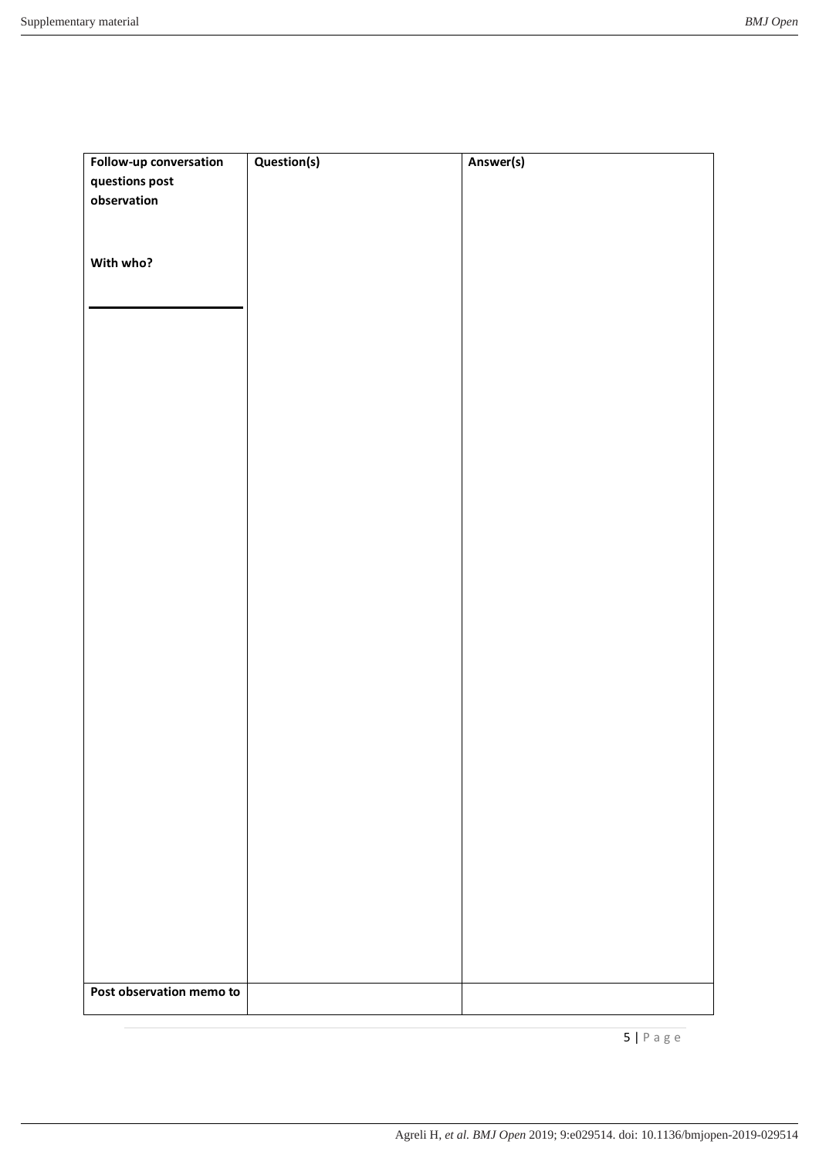| Follow-up conversation   | Question(s) | Answer(s) |
|--------------------------|-------------|-----------|
| questions post           |             |           |
| observation              |             |           |
|                          |             |           |
|                          |             |           |
| With who?                |             |           |
|                          |             |           |
|                          |             |           |
|                          |             |           |
|                          |             |           |
|                          |             |           |
|                          |             |           |
|                          |             |           |
|                          |             |           |
|                          |             |           |
|                          |             |           |
|                          |             |           |
|                          |             |           |
|                          |             |           |
|                          |             |           |
|                          |             |           |
|                          |             |           |
|                          |             |           |
|                          |             |           |
|                          |             |           |
|                          |             |           |
|                          |             |           |
|                          |             |           |
|                          |             |           |
|                          |             |           |
|                          |             |           |
|                          |             |           |
|                          |             |           |
|                          |             |           |
|                          |             |           |
|                          |             |           |
|                          |             |           |
|                          |             |           |
|                          |             |           |
|                          |             |           |
|                          |             |           |
|                          |             |           |
|                          |             |           |
| Post observation memo to |             |           |
|                          |             |           |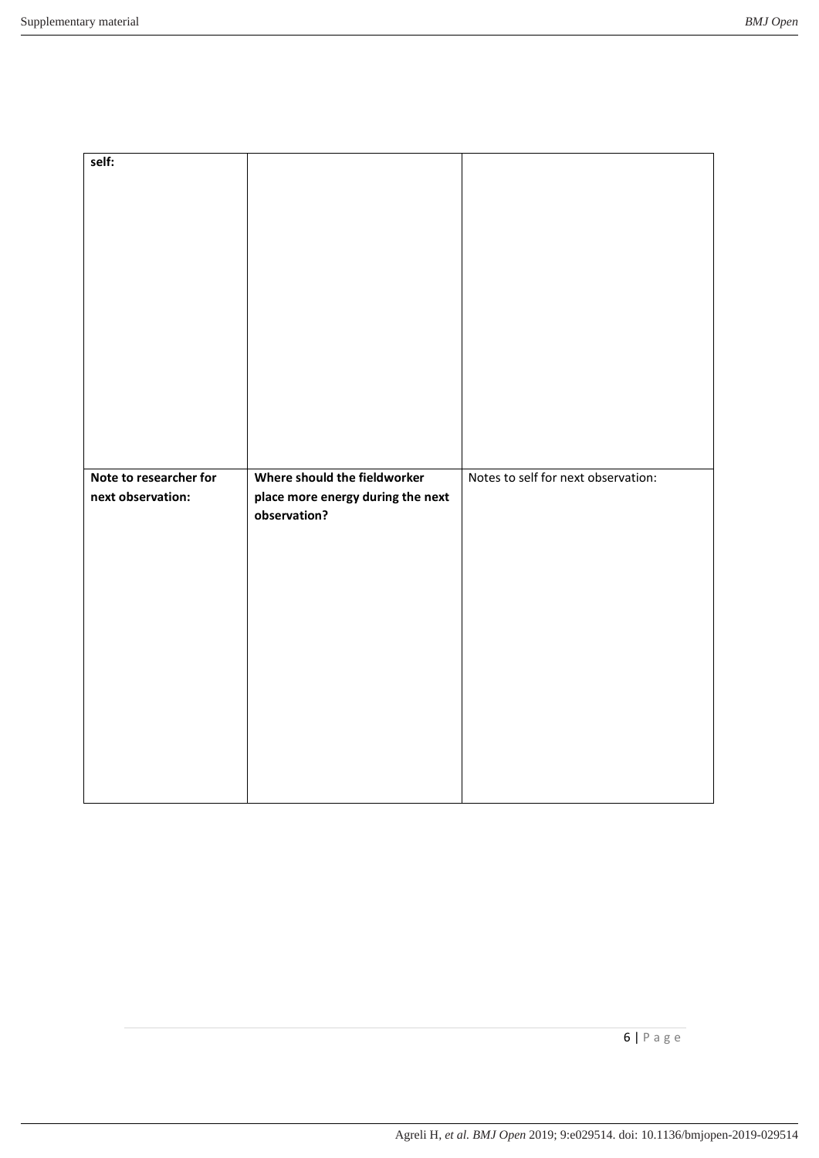| self:                                       |                                                                                   |                                     |
|---------------------------------------------|-----------------------------------------------------------------------------------|-------------------------------------|
|                                             |                                                                                   |                                     |
| Note to researcher for<br>next observation: | Where should the fieldworker<br>place more energy during the next<br>observation? | Notes to self for next observation: |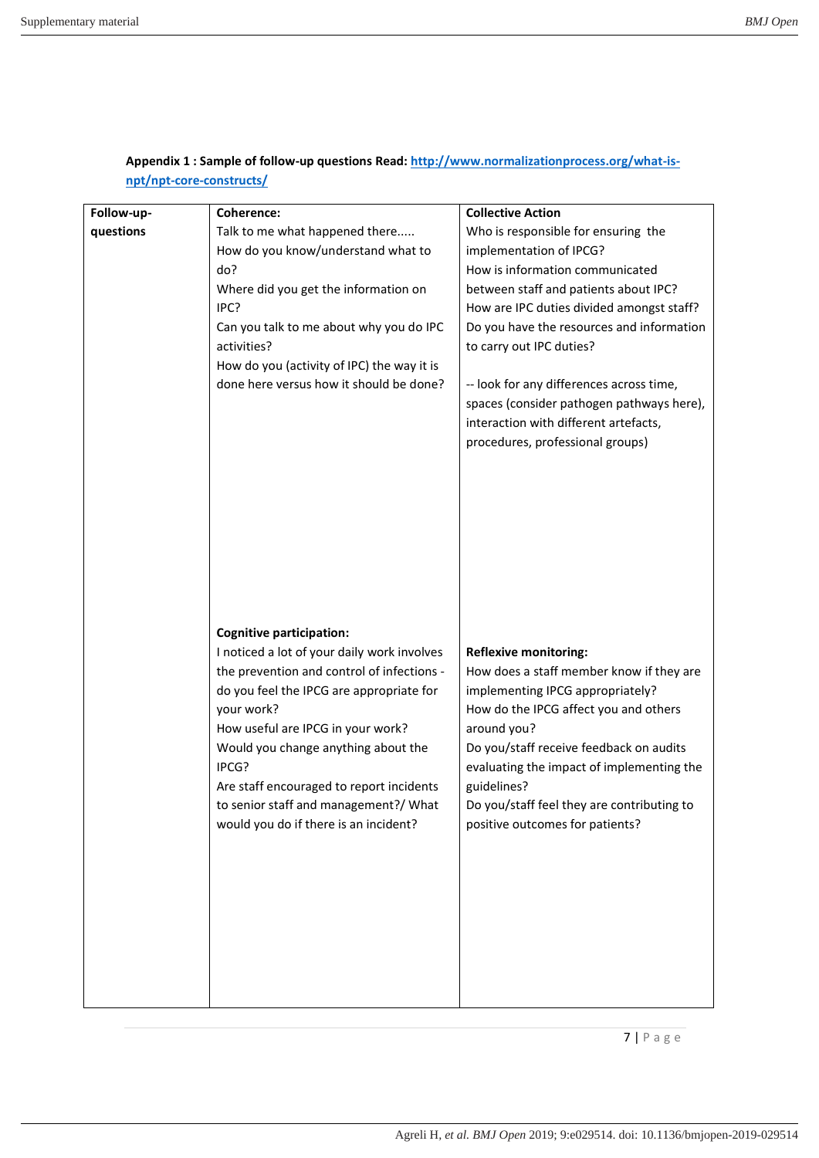| Follow-up- | <b>Coherence:</b>                           | <b>Collective Action</b>                   |
|------------|---------------------------------------------|--------------------------------------------|
| questions  | Talk to me what happened there              | Who is responsible for ensuring the        |
|            | How do you know/understand what to          | implementation of IPCG?                    |
|            | do?                                         | How is information communicated            |
|            | Where did you get the information on        | between staff and patients about IPC?      |
|            | IPC?                                        | How are IPC duties divided amongst staff?  |
|            | Can you talk to me about why you do IPC     | Do you have the resources and information  |
|            | activities?                                 | to carry out IPC duties?                   |
|            | How do you (activity of IPC) the way it is  |                                            |
|            | done here versus how it should be done?     | -- look for any differences across time,   |
|            |                                             | spaces (consider pathogen pathways here),  |
|            |                                             | interaction with different artefacts,      |
|            |                                             | procedures, professional groups)           |
|            |                                             |                                            |
|            |                                             |                                            |
|            |                                             |                                            |
|            |                                             |                                            |
|            |                                             |                                            |
|            |                                             |                                            |
|            |                                             |                                            |
|            |                                             |                                            |
|            | <b>Cognitive participation:</b>             |                                            |
|            | I noticed a lot of your daily work involves | <b>Reflexive monitoring:</b>               |
|            | the prevention and control of infections -  | How does a staff member know if they are   |
|            | do you feel the IPCG are appropriate for    | implementing IPCG appropriately?           |
|            | your work?                                  | How do the IPCG affect you and others      |
|            | How useful are IPCG in your work?           | around you?                                |
|            | Would you change anything about the         | Do you/staff receive feedback on audits    |
|            | IPCG?                                       | evaluating the impact of implementing the  |
|            | Are staff encouraged to report incidents    | guidelines?                                |
|            | to senior staff and management?/ What       | Do you/staff feel they are contributing to |
|            | would you do if there is an incident?       | positive outcomes for patients?            |
|            |                                             |                                            |
|            |                                             |                                            |
|            |                                             |                                            |
|            |                                             |                                            |
|            |                                             |                                            |
|            |                                             |                                            |
|            |                                             |                                            |
|            |                                             |                                            |
|            |                                             |                                            |

**Appendix 1 : Sample of follow-up questions Read[: http://www.normalizationprocess.org/what-is](http://www.normalizationprocess.org/what-is-npt/npt-core-constructs/)[npt/npt-core-constructs/](http://www.normalizationprocess.org/what-is-npt/npt-core-constructs/)**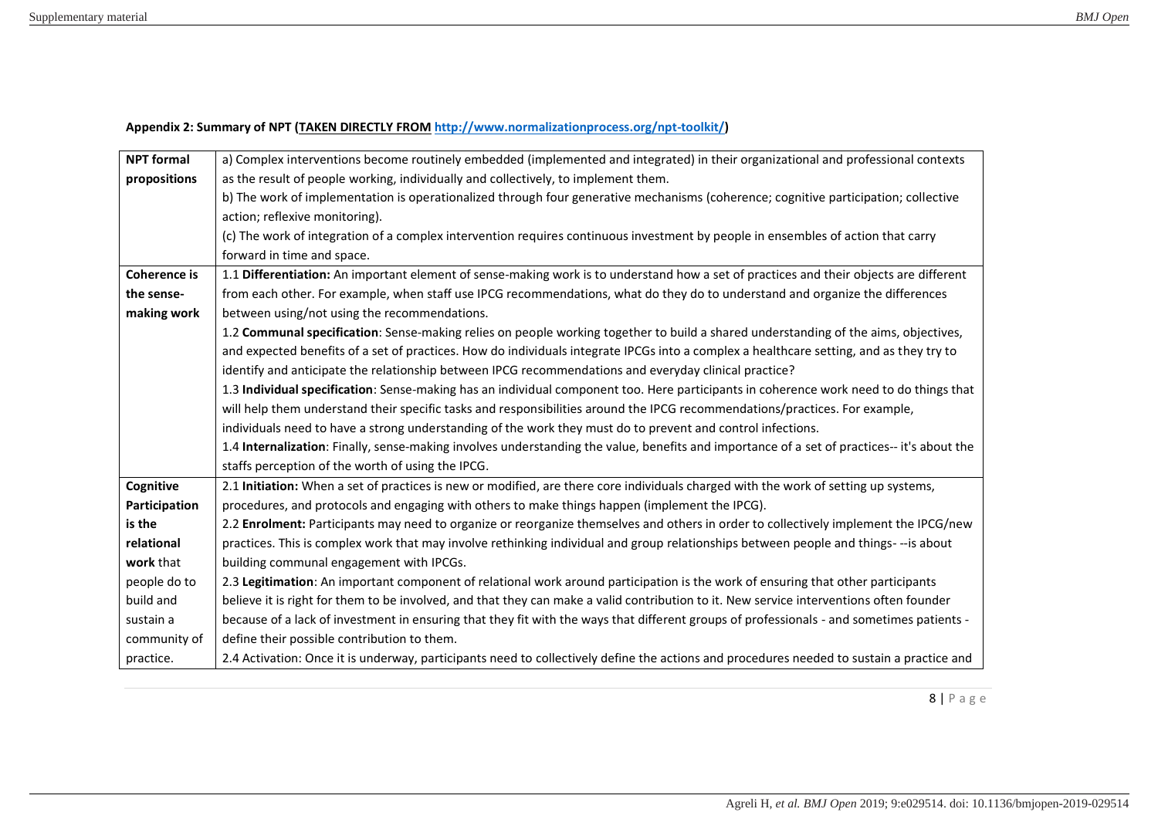## **Appendix 2: Summary of NPT (TAKEN DIRECTLY FROM [http://www.normalizationprocess.org/npt-toolkit/\)](http://www.normalizationprocess.org/npt-toolkit/)**

| <b>NPT formal</b>   | a) Complex interventions become routinely embedded (implemented and integrated) in their organizational and professional contexts           |
|---------------------|---------------------------------------------------------------------------------------------------------------------------------------------|
| propositions        | as the result of people working, individually and collectively, to implement them.                                                          |
|                     | b) The work of implementation is operationalized through four generative mechanisms (coherence; cognitive participation; collective         |
|                     | action; reflexive monitoring).                                                                                                              |
|                     | (c) The work of integration of a complex intervention requires continuous investment by people in ensembles of action that carry            |
|                     | forward in time and space.                                                                                                                  |
| <b>Coherence is</b> | 1.1 Differentiation: An important element of sense-making work is to understand how a set of practices and their objects are different      |
| the sense-          | from each other. For example, when staff use IPCG recommendations, what do they do to understand and organize the differences               |
| making work         | between using/not using the recommendations.                                                                                                |
|                     | 1.2 Communal specification: Sense-making relies on people working together to build a shared understanding of the aims, objectives,         |
|                     | and expected benefits of a set of practices. How do individuals integrate IPCGs into a complex a healthcare setting, and as they try to     |
|                     | identify and anticipate the relationship between IPCG recommendations and everyday clinical practice?                                       |
|                     | 1.3 Individual specification: Sense-making has an individual component too. Here participants in coherence work need to do things that      |
|                     | will help them understand their specific tasks and responsibilities around the IPCG recommendations/practices. For example,                 |
|                     | individuals need to have a strong understanding of the work they must do to prevent and control infections.                                 |
|                     | 1.4 Internalization: Finally, sense-making involves understanding the value, benefits and importance of a set of practices-- it's about the |
|                     | staffs perception of the worth of using the IPCG.                                                                                           |
| Cognitive           | 2.1 Initiation: When a set of practices is new or modified, are there core individuals charged with the work of setting up systems,         |
| Participation       | procedures, and protocols and engaging with others to make things happen (implement the IPCG).                                              |
| is the              | 2.2 Enrolment: Participants may need to organize or reorganize themselves and others in order to collectively implement the IPCG/new        |
| relational          | practices. This is complex work that may involve rethinking individual and group relationships between people and things---is about         |
| work that           | building communal engagement with IPCGs.                                                                                                    |
| people do to        | 2.3 Legitimation: An important component of relational work around participation is the work of ensuring that other participants            |
| build and           | believe it is right for them to be involved, and that they can make a valid contribution to it. New service interventions often founder     |
| sustain a           | because of a lack of investment in ensuring that they fit with the ways that different groups of professionals - and sometimes patients -   |
| community of        | define their possible contribution to them.                                                                                                 |
| practice.           | 2.4 Activation: Once it is underway, participants need to collectively define the actions and procedures needed to sustain a practice and   |